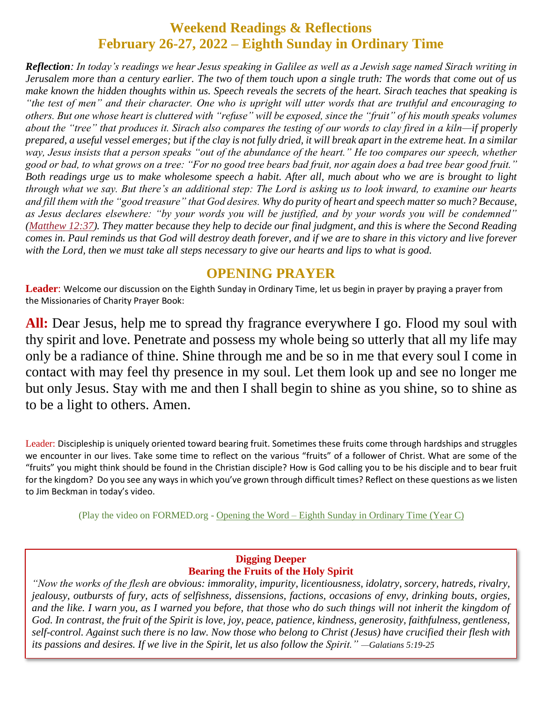# **Weekend Readings & Reflections February 26-27, 2022 – Eighth Sunday in Ordinary Time**

*Reflection: In today's readings we hear Jesus speaking in Galilee as well as a Jewish sage named Sirach writing in Jerusalem more than a century earlier. The two of them touch upon a single truth: The words that come out of us make known the hidden thoughts within us. Speech reveals the secrets of the heart. Sirach teaches that speaking is "the test of men" and their character. One who is upright will utter words that are truthful and encouraging to others. But one whose heart is cluttered with "refuse" will be exposed, since the "fruit" of his mouth speaks volumes about the "tree" that produces it. Sirach also compares the testing of our words to clay fired in a kiln—if properly prepared, a useful vessel emerges; but if the clay is not fully dried, it will break apart in the extreme heat. In a similar*  way, Jesus insists that a person speaks "out of the abundance of the heart." He too compares our speech, whether *good or bad, to what grows on a tree: "For no good tree bears bad fruit, nor again does a bad tree bear good fruit." Both readings urge us to make wholesome speech a habit. After all, much about who we are is brought to light through what we say. But there's an additional step: The Lord is asking us to look inward, to examine our hearts and fill them with the "good treasure" that God desires. Why do purity of heart and speech matter so much? Because, as Jesus declares elsewhere: "by your words you will be justified, and by your words you will be condemned" [\(Matthew](https://biblia.com/bible/rsvce/Matt%2012.37) 12:37). They matter because they help to decide our final judgment, and this is where the Second Reading comes in. Paul reminds us that God will destroy death forever, and if we are to share in this victory and live forever with the Lord, then we must take all steps necessary to give our hearts and lips to what is good.*

### **OPENING PRAYER**

**Leader**: Welcome our discussion on the Eighth Sunday in Ordinary Time, let us begin in prayer by praying a prayer from the Missionaries of Charity Prayer Book:

**All:** Dear Jesus, help me to spread thy fragrance everywhere I go. Flood my soul with thy spirit and love. Penetrate and possess my whole being so utterly that all my life may only be a radiance of thine. Shine through me and be so in me that every soul I come in contact with may feel thy presence in my soul. Let them look up and see no longer me but only Jesus. Stay with me and then I shall begin to shine as you shine, so to shine as to be a light to others. Amen.

Leader: Discipleship is uniquely oriented toward bearing fruit. Sometimes these fruits come through hardships and struggles we encounter in our lives. Take some time to reflect on the various "fruits" of a follower of Christ. What are some of the "fruits" you might think should be found in the Christian disciple? How is God calling you to be his disciple and to bear fruit for the kingdom? Do you see any ways in which you've grown through difficult times? Reflect on these questions as we listen to Jim Beckman in today's video.

(Play the video on FORMED.org - Opening the Word – Eighth [Sunday in Ordinary Time](https://watch.formed.org/opening-the-word-1/season:3/videos/8th-sunday-in-ordinary-time-march-3-2019) (Year C)

#### **Digging Deeper Bearing the Fruits of the Holy Spirit**

*"Now the works of the flesh are obvious: immorality, impurity, licentiousness, idolatry, sorcery, hatreds, rivalry, jealousy, outbursts of fury, acts of selfishness, dissensions, factions, occasions of envy, drinking bouts, orgies, and the like. I warn you, as I warned you before, that those who do such things will not inherit the kingdom of God. In contrast, the fruit of the Spirit is love, joy, peace, patience, kindness, generosity, faithfulness, gentleness, self-control. Against such there is no law. Now those who belong to Christ (Jesus) have crucified their flesh with its passions and desires. If we live in the Spirit, let us also follow the Spirit." —Galatians 5:19-25*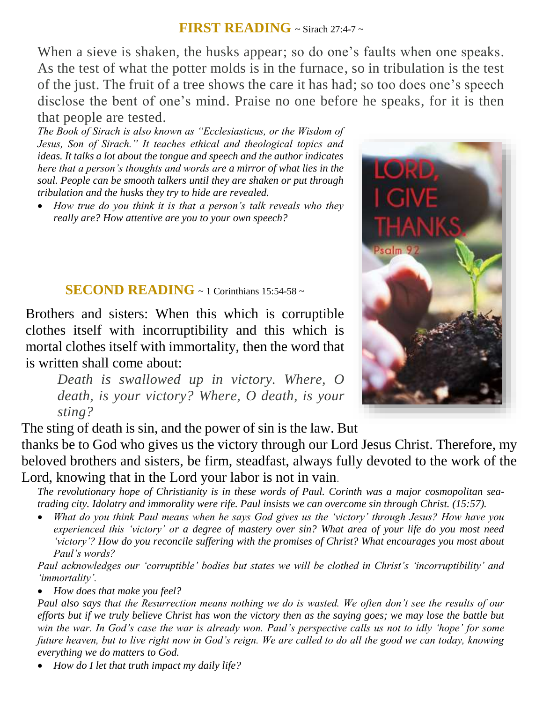### **FIRST READING**  $\sim$  Sirach 27:4-7  $\sim$

When a sieve is shaken, the husks appear; so do one's faults when one speaks. As the test of what the potter molds is in the furnace, so in tribulation is the test of the just. The fruit of a tree shows the care it has had; so too does one's speech disclose the bent of one's mind. Praise no one before he speaks, for it is then that people are tested.

*The Book of Sirach is also known as "Ecclesiasticus, or the Wisdom of Jesus, Son of Sirach." It teaches ethical and theological topics and ideas. It talks a lot about the tongue and speech and the author indicates here that a person's thoughts and words are a mirror of what lies in the soul. People can be smooth talkers until they are shaken or put through tribulation and the husks they try to hide are revealed.* 

 *How true do you think it is that a person's talk reveals who they really are? How attentive are you to your own speech?*

### **SECOND READING**  $\sim$  1 Corinthians 15:54-58  $\sim$

Brothers and sisters: When this which is corruptible clothes itself with incorruptibility and this which is mortal clothes itself with immortality, then the word that is written shall come about:

*Death is swallowed up in victory. Where, O death, is your victory? Where, O death, is your sting?*

The sting of death is sin, and the power of sin is the law. But

thanks be to God who gives us the victory through our Lord Jesus Christ. Therefore, my beloved brothers and sisters, be firm, steadfast, always fully devoted to the work of the Lord, knowing that in the Lord your labor is not in vain.

*The revolutionary hope of Christianity is in these words of Paul. Corinth was a major cosmopolitan seatrading city. Idolatry and immorality were rife. Paul insists we can overcome sin through Christ. (15:57).* 

 *What do you think Paul means when he says God gives us the 'victory' through Jesus? How have you experienced this 'victory' or a degree of mastery over sin? What area of your life do you most need 'victory'? How do you reconcile suffering with the promises of Christ? What encourages you most about Paul's words?*

*Paul acknowledges our 'corruptible' bodies but states we will be clothed in Christ's 'incorruptibility' and 'immortality'.* 

*How does that make you feel?*

*Paul also says that the Resurrection means nothing we do is wasted. We often don't see the results of our efforts but if we truly believe Christ has won the victory then as the saying goes; we may lose the battle but win the war. In God's case the war is already won. Paul's perspective calls us not to idly 'hope' for some future heaven, but to live right now in God's reign. We are called to do all the good we can today, knowing everything we do matters to God.*

*How do I let that truth impact my daily life?*

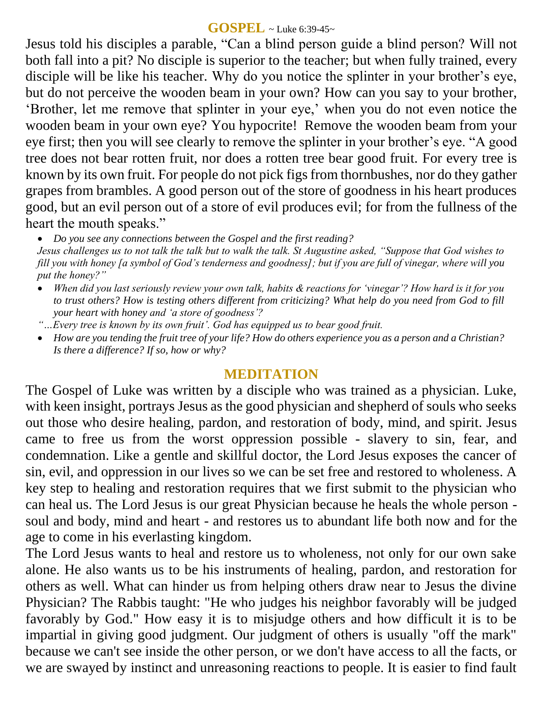### **GOSPEL** ~ Luke 6:39-45~

Jesus told his disciples a parable, "Can a blind person guide a blind person? Will not both fall into a pit? No disciple is superior to the teacher; but when fully trained, every disciple will be like his teacher. Why do you notice the splinter in your brother's eye, but do not perceive the wooden beam in your own? How can you say to your brother, 'Brother, let me remove that splinter in your eye,' when you do not even notice the wooden beam in your own eye? You hypocrite! Remove the wooden beam from your eye first; then you will see clearly to remove the splinter in your brother's eye. "A good tree does not bear rotten fruit, nor does a rotten tree bear good fruit. For every tree is known by its own fruit. For people do not pick figs from thornbushes, nor do they gather grapes from brambles. A good person out of the store of goodness in his heart produces good, but an evil person out of a store of evil produces evil; for from the fullness of the heart the mouth speaks."

*Do you see any connections between the Gospel and the first reading?* 

*Jesus challenges us to not talk the talk but to walk the talk. St Augustine asked, "Suppose that God wishes to fill you with honey [a symbol of God's tenderness and goodness]; but if you are full of vinegar, where will you put the honey?"* 

- *When did you last seriously review your own talk, habits & reactions for 'vinegar'? How hard is it for you to trust others? How is testing others different from criticizing? What help do you need from God to fill your heart with honey and 'a store of goodness'?*
- *"…Every tree is known by its own fruit'. God has equipped us to bear good fruit.*
- *How are you tending the fruit tree of your life? How do others experience you as a person and a Christian? Is there a difference? If so, how or why?*

## **MEDITATION**

The Gospel of Luke was written by a disciple who was trained as a physician. Luke, with keen insight, portrays Jesus as the good physician and shepherd of souls who seeks out those who desire healing, pardon, and restoration of body, mind, and spirit. Jesus came to free us from the worst oppression possible - slavery to sin, fear, and condemnation. Like a gentle and skillful doctor, the Lord Jesus exposes the cancer of sin, evil, and oppression in our lives so we can be set free and restored to wholeness. A key step to healing and restoration requires that we first submit to the physician who can heal us. The Lord Jesus is our great Physician because he heals the whole person soul and body, mind and heart - and restores us to abundant life both now and for the age to come in his everlasting kingdom.

The Lord Jesus wants to heal and restore us to wholeness, not only for our own sake alone. He also wants us to be his instruments of healing, pardon, and restoration for others as well. What can hinder us from helping others draw near to Jesus the divine Physician? The Rabbis taught: "He who judges his neighbor favorably will be judged favorably by God." How easy it is to misjudge others and how difficult it is to be impartial in giving good judgment. Our judgment of others is usually "off the mark" because we can't see inside the other person, or we don't have access to all the facts, or we are swayed by instinct and unreasoning reactions to people. It is easier to find fault